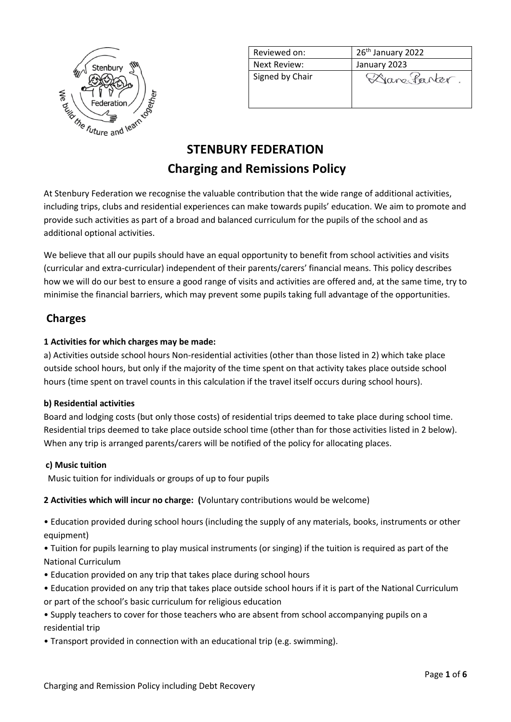

| Reviewed on:    | 26 <sup>th</sup> January 2022 |
|-----------------|-------------------------------|
| Next Review:    | January 2023                  |
| Signed by Chair | Dane Parter.                  |
|                 |                               |

# **STENBURY FEDERATION Charging and Remissions Policy**

At Stenbury Federation we recognise the valuable contribution that the wide range of additional activities, including trips, clubs and residential experiences can make towards pupils' education. We aim to promote and provide such activities as part of a broad and balanced curriculum for the pupils of the school and as additional optional activities.

We believe that all our pupils should have an equal opportunity to benefit from school activities and visits (curricular and extra-curricular) independent of their parents/carers' financial means. This policy describes how we will do our best to ensure a good range of visits and activities are offered and, at the same time, try to minimise the financial barriers, which may prevent some pupils taking full advantage of the opportunities.

# **Charges**

## **1 Activities for which charges may be made:**

a) Activities outside school hours Non-residential activities (other than those listed in 2) which take place outside school hours, but only if the majority of the time spent on that activity takes place outside school hours (time spent on travel counts in this calculation if the travel itself occurs during school hours).

### **b) Residential activities**

Board and lodging costs (but only those costs) of residential trips deemed to take place during school time. Residential trips deemed to take place outside school time (other than for those activities listed in 2 below). When any trip is arranged parents/carers will be notified of the policy for allocating places.

### **c) Music tuition**

Music tuition for individuals or groups of up to four pupils

### **2 Activities which will incur no charge: (**Voluntary contributions would be welcome)

• Education provided during school hours (including the supply of any materials, books, instruments or other equipment)

• Tuition for pupils learning to play musical instruments (or singing) if the tuition is required as part of the National Curriculum

- Education provided on any trip that takes place during school hours
- Education provided on any trip that takes place outside school hours if it is part of the National Curriculum or part of the school's basic curriculum for religious education
- Supply teachers to cover for those teachers who are absent from school accompanying pupils on a residential trip
- Transport provided in connection with an educational trip (e.g. swimming).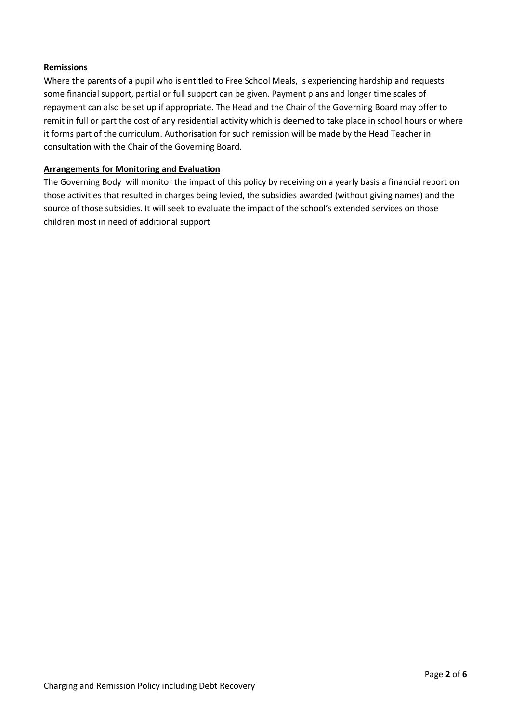#### **Remissions**

Where the parents of a pupil who is entitled to Free School Meals, is experiencing hardship and requests some financial support, partial or full support can be given. Payment plans and longer time scales of repayment can also be set up if appropriate. The Head and the Chair of the Governing Board may offer to remit in full or part the cost of any residential activity which is deemed to take place in school hours or where it forms part of the curriculum. Authorisation for such remission will be made by the Head Teacher in consultation with the Chair of the Governing Board.

#### **Arrangements for Monitoring and Evaluation**

The Governing Body will monitor the impact of this policy by receiving on a yearly basis a financial report on those activities that resulted in charges being levied, the subsidies awarded (without giving names) and the source of those subsidies. It will seek to evaluate the impact of the school's extended services on those children most in need of additional support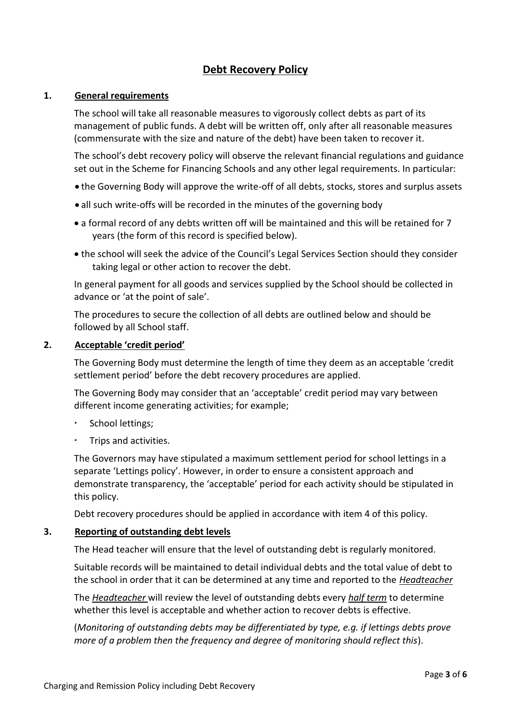# **Debt Recovery Policy**

### **1. General requirements**

The school will take all reasonable measures to vigorously collect debts as part of its management of public funds. A debt will be written off, only after all reasonable measures (commensurate with the size and nature of the debt) have been taken to recover it.

The school's debt recovery policy will observe the relevant financial regulations and guidance set out in the Scheme for Financing Schools and any other legal requirements. In particular:

- the Governing Body will approve the write-off of all debts, stocks, stores and surplus assets
- all such write-offs will be recorded in the minutes of the governing body
- a formal record of any debts written off will be maintained and this will be retained for 7 years (the form of this record is specified below).
- the school will seek the advice of the Council's Legal Services Section should they consider taking legal or other action to recover the debt.

In general payment for all goods and services supplied by the School should be collected in advance or 'at the point of sale'.

The procedures to secure the collection of all debts are outlined below and should be followed by all School staff.

### **2. Acceptable 'credit period'**

The Governing Body must determine the length of time they deem as an acceptable 'credit settlement period' before the debt recovery procedures are applied.

The Governing Body may consider that an 'acceptable' credit period may vary between different income generating activities; for example;

- School lettings;
- Trips and activities.

The Governors may have stipulated a maximum settlement period for school lettings in a separate 'Lettings policy'. However, in order to ensure a consistent approach and demonstrate transparency, the 'acceptable' period for each activity should be stipulated in this policy.

Debt recovery procedures should be applied in accordance with item 4 of this policy.

### **3. Reporting of outstanding debt levels**

The Head teacher will ensure that the level of outstanding debt is regularly monitored.

Suitable records will be maintained to detail individual debts and the total value of debt to the school in order that it can be determined at any time and reported to the *Headteacher*

The *Headteacher* will review the level of outstanding debts every *half term* to determine whether this level is acceptable and whether action to recover debts is effective.

(*Monitoring of outstanding debts may be differentiated by type, e.g. if lettings debts prove more of a problem then the frequency and degree of monitoring should reflect this*).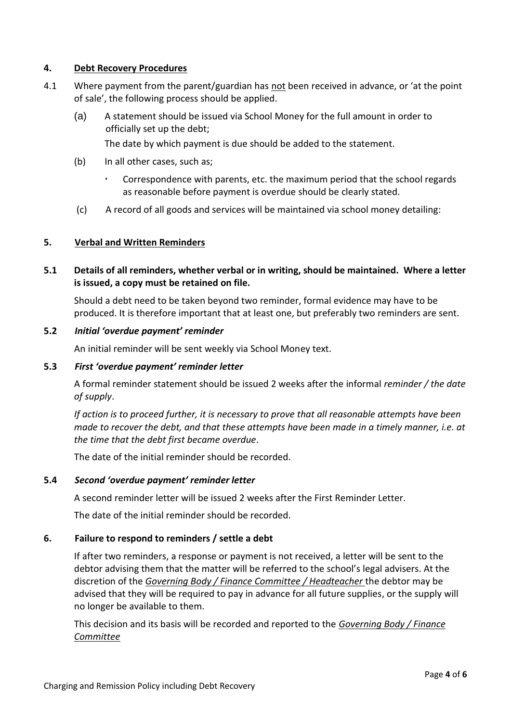### **4. Debt Recovery Procedures**

- 4.1 Where payment from the parent/guardian has not been received in advance, or 'at the point of sale', the following process should be applied.
	- (a) A statement should be issued via School Money for the full amount in order to officially set up the debt;

The date by which payment is due should be added to the statement.

- (b) In all other cases, such as;
	- Correspondence with parents, etc. the maximum period that the school regards as reasonable before payment is overdue should be clearly stated.
- (c) A record of all goods and services will be maintained via school money detailing:

### **5. Verbal and Written Reminders**

# **5.1 Details of all reminders, whether verbal or in writing, should be maintained. Where a letter is issued, a copy must be retained on file.**

Should a debt need to be taken beyond two reminder, formal evidence may have to be produced. It is therefore important that at least one, but preferably two reminders are sent.

### **5.2** *Initial 'overdue payment' reminder*

An initial reminder will be sent weekly via School Money text.

### **5.3** *First 'overdue payment' reminder letter*

A formal reminder statement should be issued 2 weeks after the informal *reminder / the date of supply*.

*If action is to proceed further, it is necessary to prove that all reasonable attempts have been made to recover the debt, and that these attempts have been made in a timely manner, i.e. at the time that the debt first became overdue*.

The date of the initial reminder should be recorded.

### **5.4** *Second 'overdue payment' reminder letter*

A second reminder letter will be issued 2 weeks after the First Reminder Letter.

The date of the initial reminder should be recorded.

### **6. Failure to respond to reminders / settle a debt**

If after two reminders, a response or payment is not received, a letter will be sent to the debtor advising them that the matter will be referred to the school's legal advisers. At the discretion of the *Governing Body / Finance Committee / Headteacher* the debtor may be advised that they will be required to pay in advance for all future supplies, or the supply will no longer be available to them.

This decision and its basis will be recorded and reported to the *Governing Body / Finance Committee*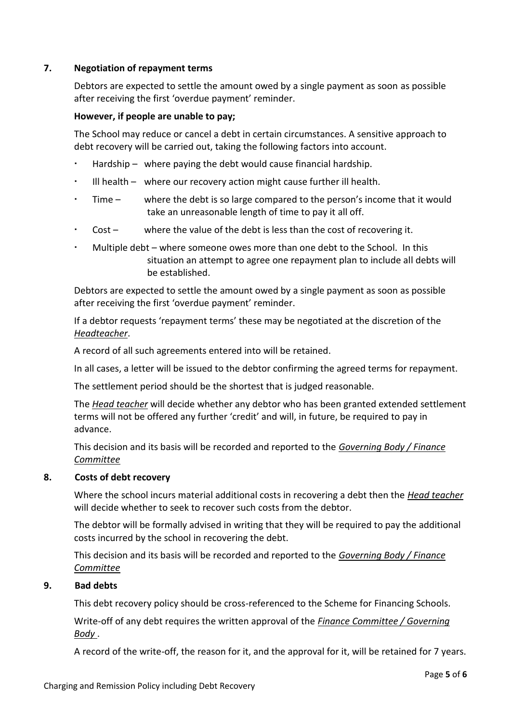## **7. Negotiation of repayment terms**

Debtors are expected to settle the amount owed by a single payment as soon as possible after receiving the first 'overdue payment' reminder.

### **However, if people are unable to pay;**

The School may reduce or cancel a debt in certain circumstances. A sensitive approach to debt recovery will be carried out, taking the following factors into account.

- Hardship where paying the debt would cause financial hardship.
- Ill health where our recovery action might cause further ill health.
- Time where the debt is so large compared to the person's income that it would take an unreasonable length of time to pay it all off.
- Cost where the value of the debt is less than the cost of recovering it.
- Multiple debt where someone owes more than one debt to the School. In this situation an attempt to agree one repayment plan to include all debts will be established.

Debtors are expected to settle the amount owed by a single payment as soon as possible after receiving the first 'overdue payment' reminder.

If a debtor requests 'repayment terms' these may be negotiated at the discretion of the *Headteacher*.

A record of all such agreements entered into will be retained.

In all cases, a letter will be issued to the debtor confirming the agreed terms for repayment.

The settlement period should be the shortest that is judged reasonable.

The *Head teacher* will decide whether any debtor who has been granted extended settlement terms will not be offered any further 'credit' and will, in future, be required to pay in advance.

This decision and its basis will be recorded and reported to the *Governing Body / Finance Committee*

#### **8. Costs of debt recovery**

Where the school incurs material additional costs in recovering a debt then the *Head teacher*  will decide whether to seek to recover such costs from the debtor.

The debtor will be formally advised in writing that they will be required to pay the additional costs incurred by the school in recovering the debt.

This decision and its basis will be recorded and reported to the *Governing Body / Finance Committee*

#### **9. Bad debts**

This debt recovery policy should be cross-referenced to the Scheme for Financing Schools.

Write-off of any debt requires the written approval of the *Finance Committee / Governing Body* .

A record of the write-off, the reason for it, and the approval for it, will be retained for 7 years.